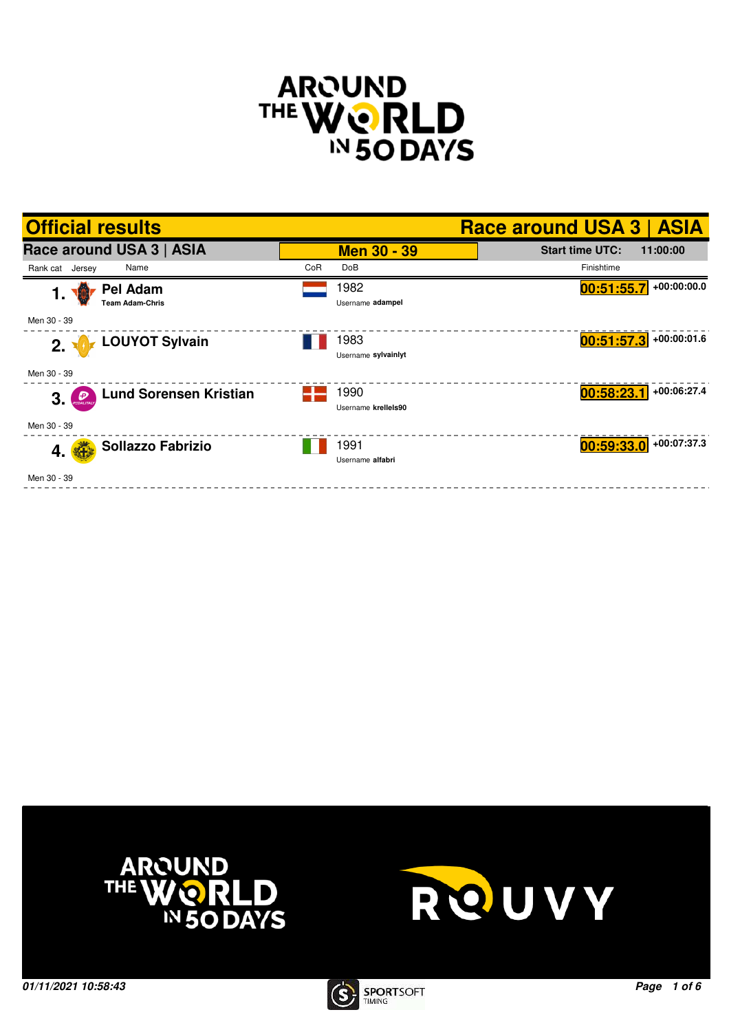







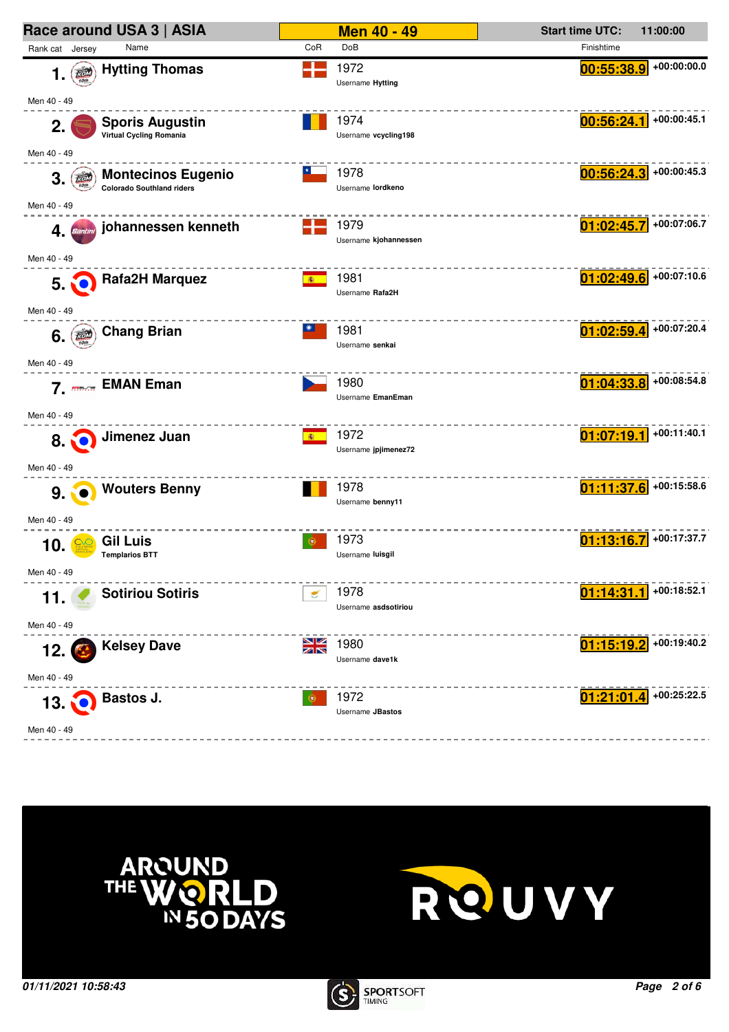





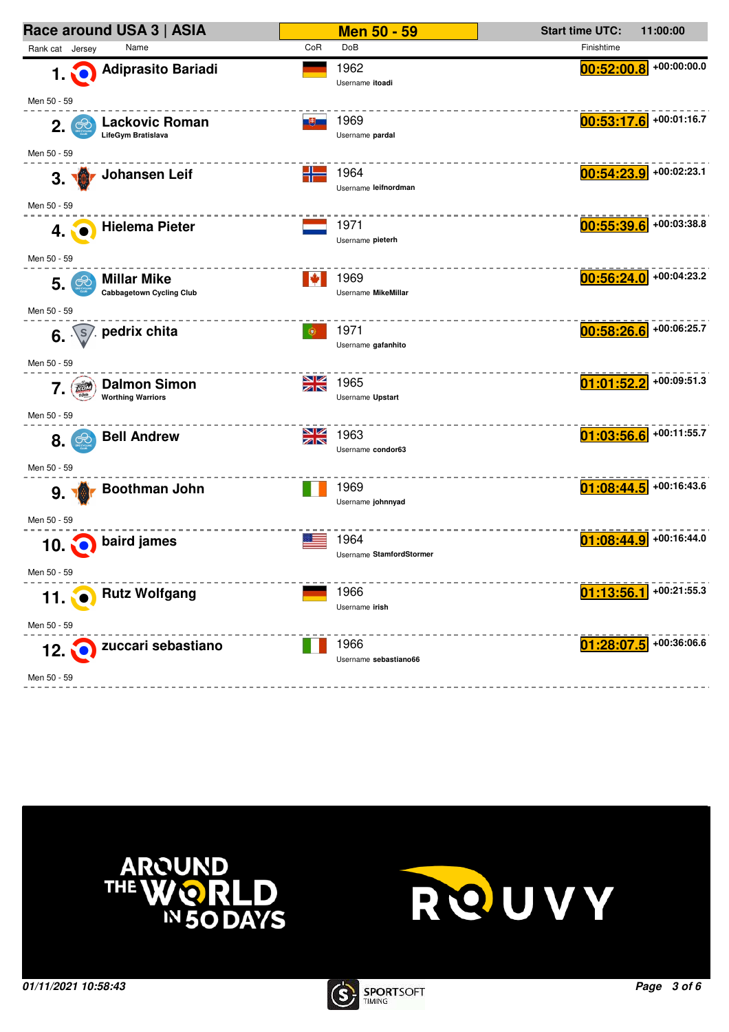| Race around USA 3   ASIA                                                        |                                | <b>Men 50 - 59</b>       | <b>Start time UTC:</b>   | 11:00:00      |
|---------------------------------------------------------------------------------|--------------------------------|--------------------------|--------------------------|---------------|
| Rank cat Jersey<br>Name                                                         | <b>DoB</b><br>CoR              |                          | Finishtime               |               |
| <b>Adiprasito Bariadi</b><br><b>1. NO</b>                                       | 1962<br>Username itoadi        |                          | 00:52:00.8               | $+00:00:00.0$ |
| Men 50 - 59                                                                     |                                |                          |                          |               |
| <b>Lackovic Roman</b><br>2.<br>LifeGym Bratislava                               | 1969<br>그런드<br>Username pardal |                          | 00:53:17.6               | +00:01:16.7   |
| Men 50 - 59                                                                     |                                |                          |                          |               |
| Johansen Leif<br>3.7                                                            | ╉<br>1964                      | Username leifnordman     | 00:54:23.9               | +00:02:23.1   |
| Men 50 - 59                                                                     |                                |                          |                          |               |
| <b>Hielema Pieter</b><br>4.                                                     | 1971<br>Username pieterh       |                          | $00:55:39.6$ +00:03:38.8 |               |
| Men 50 - 59<br><b>Millar Mike</b><br>ಱ<br>5.<br><b>Cabbagetown Cycling Club</b> | 1969<br>IV.                    | Username MikeMillar      | 00:56:24.0               | +00:04:23.2   |
| Men 50 - 59                                                                     |                                |                          |                          |               |
| ∕. pedrix chita<br>$6. \sqrt{s}$                                                | 1971<br>۰                      | Username gafanhito       | 00:58:26.6               | +00:06:25.7   |
| Men 50 - 59                                                                     |                                |                          |                          |               |
| <b>Dalmon Simon</b><br>to<br>7.<br>10 <sub>th</sub><br><b>Worthing Warriors</b> | NK<br>AK<br>1965               | Username Upstart         | 01:01:52.2               | +00:09:51.3   |
| Men 50 - 59                                                                     |                                |                          |                          |               |
| <b>Bell Andrew</b><br>8.<br>$\infty$                                            | NK<br>AR<br>1963               | Username condor63        | $01:03:56.6$ +00:11:55.7 |               |
| Men 50 - 59<br>Boothman John<br>9.7                                             | 1969                           |                          | 01:08:44.5               | +00:16:43.6   |
| Men 50 - 59                                                                     |                                | Username johnnyad        |                          |               |
| baird james<br><b>10.00</b>                                                     | 1964                           | Username StamfordStormer | 01:08:44.9               | +00:16:44.0   |
| Men 50 - 59                                                                     |                                |                          |                          |               |
| 11. <b>O</b> Rutz Wolfgang                                                      | 1966<br>Username irish         |                          | 01:13:56.1               | +00:21:55.3   |
| Men 50 - 59                                                                     |                                |                          |                          |               |
| zuccari sebastiano<br>$12 \, \textcolor{red}{\bullet}$<br>Men 50 - 59           | 1966                           | Username sebastiano66    | $01:28:07.5$ +00:36:06.6 |               |
|                                                                                 |                                |                          |                          |               |





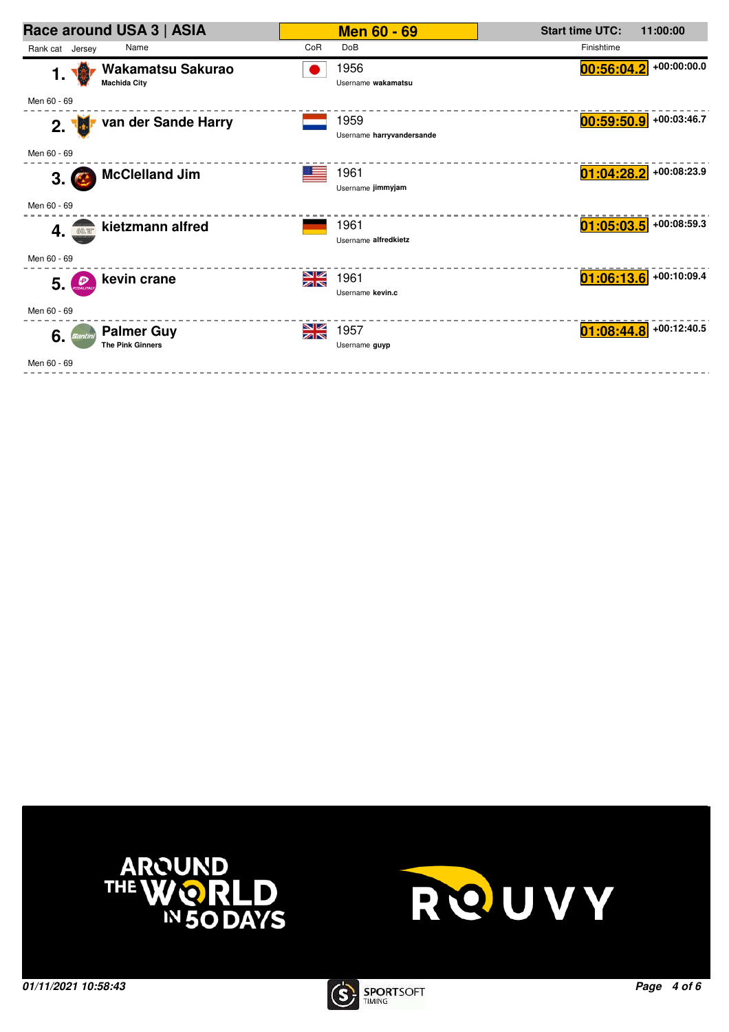| Race around USA 3   ASIA                                      |                   | <b>Men 60 - 69</b>                | <b>Start time UTC:</b> | 11:00:00                 |
|---------------------------------------------------------------|-------------------|-----------------------------------|------------------------|--------------------------|
| Rank cat Jersey<br>Name                                       | CoR<br><b>DoB</b> |                                   | Finishtime             |                          |
| Wakamatsu Sakurao<br>1.<br><b>Machida City</b>                |                   | 1956<br>Username wakamatsu        | 00:56:04.2             | $+00:00:00.0$            |
| Men 60 - 69                                                   |                   |                                   |                        |                          |
| van der Sande Harry<br>2.                                     |                   | 1959<br>Username harryvandersande |                        | $00:59:50.9$ +00:03:46.7 |
| Men 60 - 69                                                   |                   |                                   |                        |                          |
| <b>McClelland Jim</b><br>3. (                                 | 1961              | Username jimmyjam                 | 01:04:28.2             | +00:08:23.9              |
| Men 60 - 69                                                   |                   |                                   |                        |                          |
| kietzmann alfred<br>4. 60.                                    | 1961              | Username alfredkietz              |                        | $01:05:03.5$ +00:08:59.3 |
| Men 60 - 69                                                   |                   |                                   |                        |                          |
| kevin crane<br>Đ<br>5. 5                                      | ≫<br>X<br>1961    | Username kevin.c                  |                        | $01:06:13.6$ +00:10:09.4 |
| Men 60 - 69                                                   |                   |                                   |                        |                          |
| <b>Palmer Guy</b><br>6.<br>Santini<br><b>The Pink Ginners</b> | ≫<br>X<br>1957    | Username guyp                     |                        | $01:08:44.8$ +00:12:40.5 |
| Men 60 - 69                                                   |                   |                                   |                        |                          |





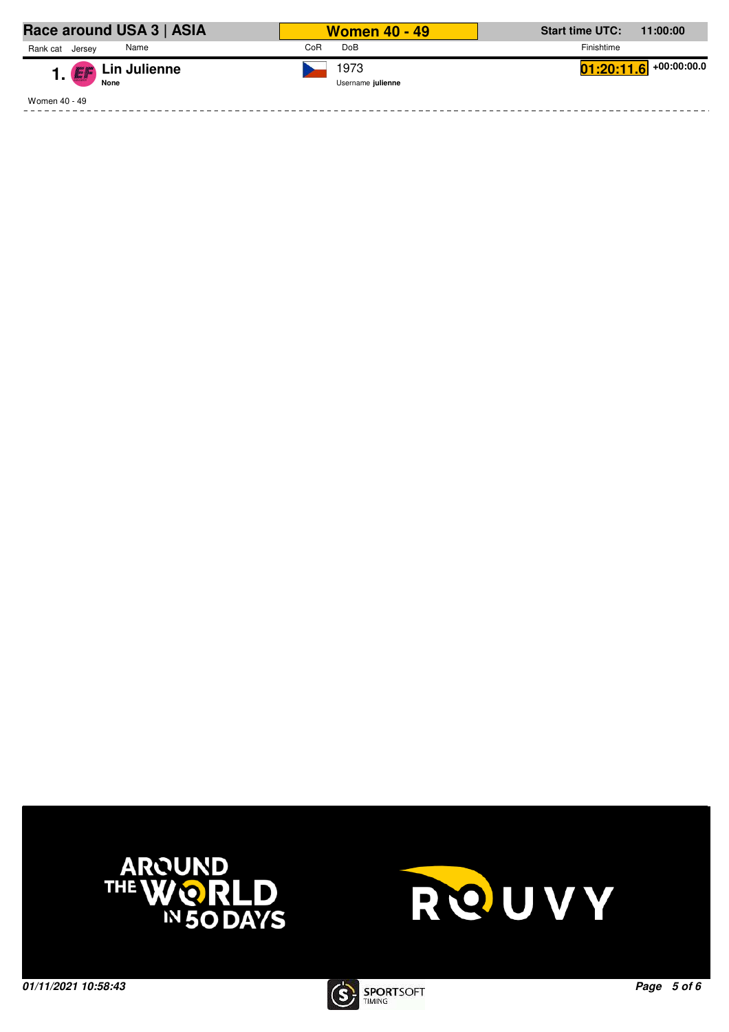| Race around USA 3   ASIA          | <b>Women 40 - 49</b>      | <b>Start time UTC:</b><br>11:00:00 |
|-----------------------------------|---------------------------|------------------------------------|
| Rank cat<br>Name<br>Jersev        | <b>DoB</b><br>CoR         | Finishtime                         |
| 1. <b>Ex</b> Lin Julienne<br>None | 1973<br>Username julienne | $\boxed{01:20:11.6}$ +00:00:00.0   |
| Women 40 - 49                     |                           |                                    |